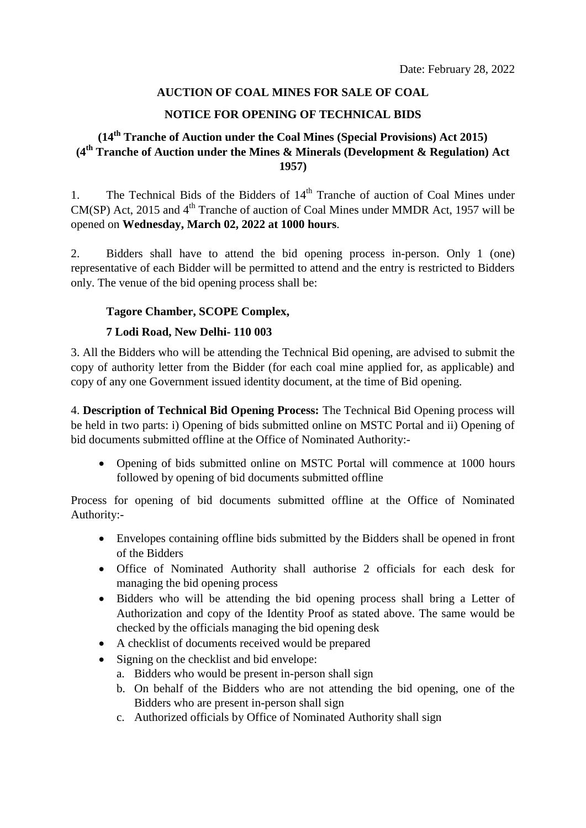## **AUCTION OF COAL MINES FOR SALE OF COAL**

## **NOTICE FOR OPENING OF TECHNICAL BIDS**

# **(14 th Tranche of Auction under the Coal Mines (Special Provisions) Act 2015) (4 th Tranche of Auction under the Mines & Minerals (Development & Regulation) Act 1957)**

1. The Technical Bids of the Bidders of 14<sup>th</sup> Tranche of auction of Coal Mines under CM(SP) Act, 2015 and  $4<sup>th</sup>$  Tranche of auction of Coal Mines under MMDR Act, 1957 will be opened on **Wednesday, March 02, 2022 at 1000 hours**.

2. Bidders shall have to attend the bid opening process in-person. Only 1 (one) representative of each Bidder will be permitted to attend and the entry is restricted to Bidders only. The venue of the bid opening process shall be:

### **Tagore Chamber, SCOPE Complex,**

### **7 Lodi Road, New Delhi- 110 003**

3. All the Bidders who will be attending the Technical Bid opening, are advised to submit the copy of authority letter from the Bidder (for each coal mine applied for, as applicable) and copy of any one Government issued identity document, at the time of Bid opening.

4. **Description of Technical Bid Opening Process:** The Technical Bid Opening process will be held in two parts: i) Opening of bids submitted online on MSTC Portal and ii) Opening of bid documents submitted offline at the Office of Nominated Authority:-

• Opening of bids submitted online on MSTC Portal will commence at 1000 hours followed by opening of bid documents submitted offline

Process for opening of bid documents submitted offline at the Office of Nominated Authority:-

- Envelopes containing offline bids submitted by the Bidders shall be opened in front of the Bidders
- Office of Nominated Authority shall authorise 2 officials for each desk for managing the bid opening process
- Bidders who will be attending the bid opening process shall bring a Letter of Authorization and copy of the Identity Proof as stated above. The same would be checked by the officials managing the bid opening desk
- A checklist of documents received would be prepared
- Signing on the checklist and bid envelope:
	- a. Bidders who would be present in-person shall sign
	- b. On behalf of the Bidders who are not attending the bid opening, one of the Bidders who are present in-person shall sign
	- c. Authorized officials by Office of Nominated Authority shall sign